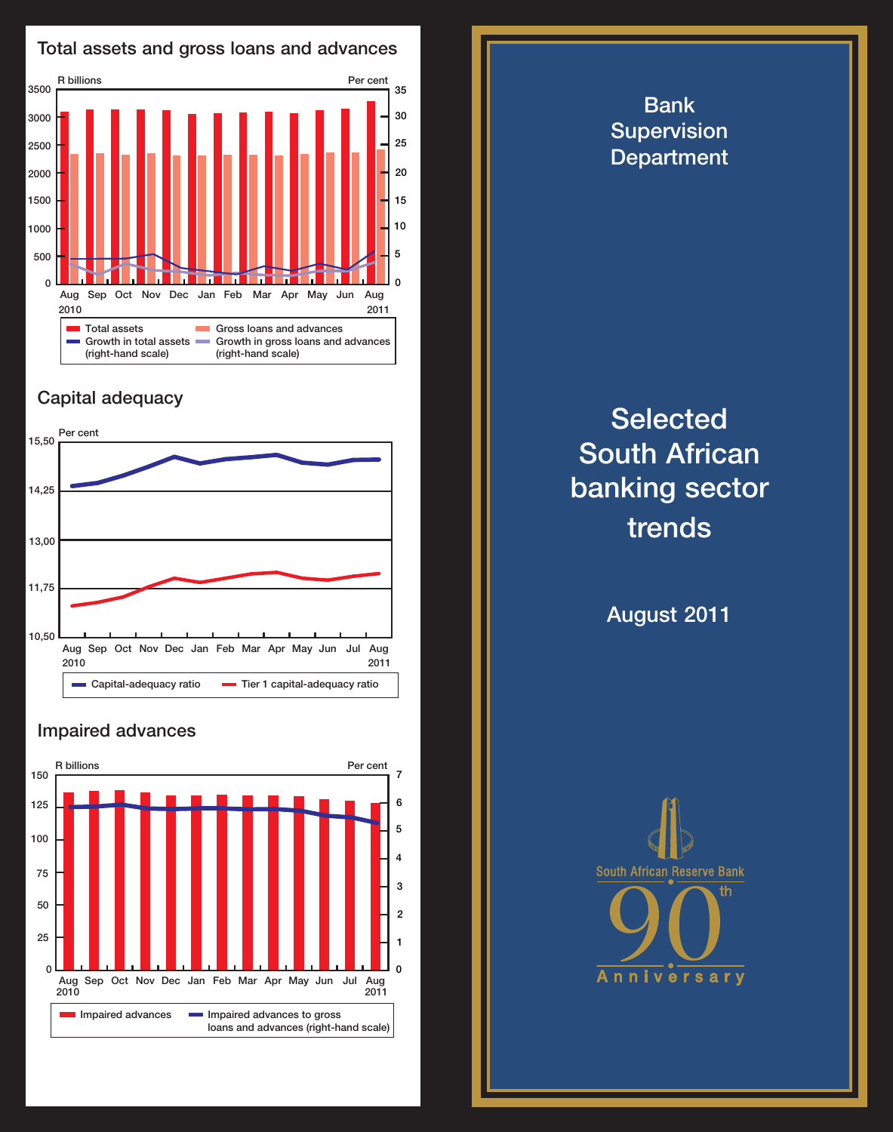

## Capital adequacy



## Impaired advances



**Selected** South African banking sector trends

Bank **Supervision Department** 

August 2011